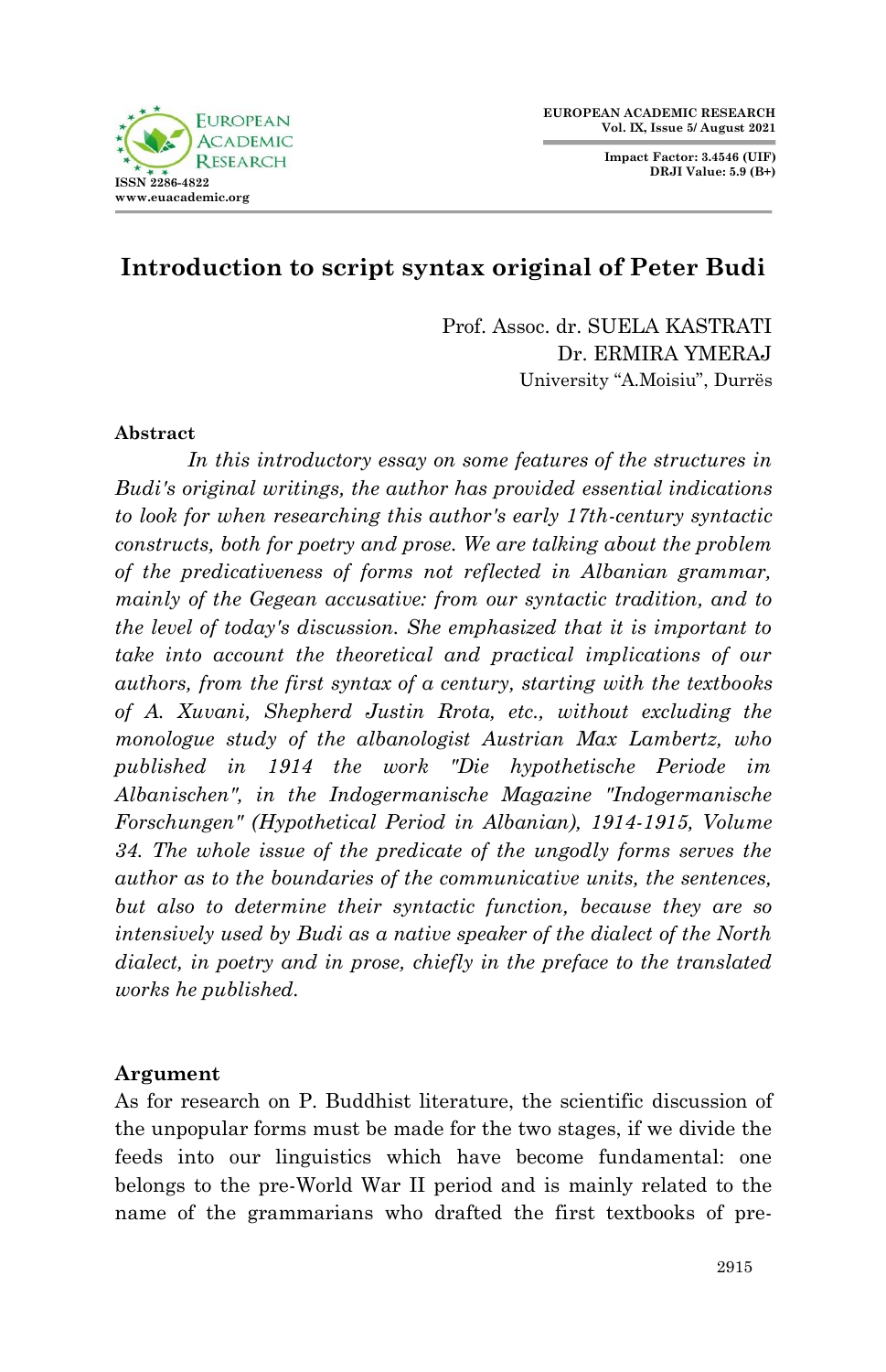

**Impact Factor: 3.4546 (UIF) DRJI Value: 5.9 (B+)**



# **Introduction to script syntax original of Peter Budi**

Prof. Assoc. dr. SUELA KASTRATI Dr. ERMIRA YMERAJ University "A.Moisiu", Durrës

### **Abstract**

*In this introductory essay on some features of the structures in Budi's original writings, the author has provided essential indications to look for when researching this author's early 17th-century syntactic constructs, both for poetry and prose. We are talking about the problem of the predicativeness of forms not reflected in Albanian grammar, mainly of the Gegean accusative: from our syntactic tradition, and to the level of today's discussion. She emphasized that it is important to take into account the theoretical and practical implications of our authors, from the first syntax of a century, starting with the textbooks of A. Xuvani, Shepherd Justin Rrota, etc., without excluding the monologue study of the albanologist Austrian Max Lambertz, who published in 1914 the work "Die hypothetische Periode im Albanischen", in the Indogermanische Magazine "Indogermanische Forschungen" (Hypothetical Period in Albanian), 1914-1915, Volume 34. The whole issue of the predicate of the ungodly forms serves the author as to the boundaries of the communicative units, the sentences, but also to determine their syntactic function, because they are so intensively used by Budi as a native speaker of the dialect of the North dialect, in poetry and in prose, chiefly in the preface to the translated works he published.*

### **Argument**

As for research on P. Buddhist literature, the scientific discussion of the unpopular forms must be made for the two stages, if we divide the feeds into our linguistics which have become fundamental: one belongs to the pre-World War II period and is mainly related to the name of the grammarians who drafted the first textbooks of pre-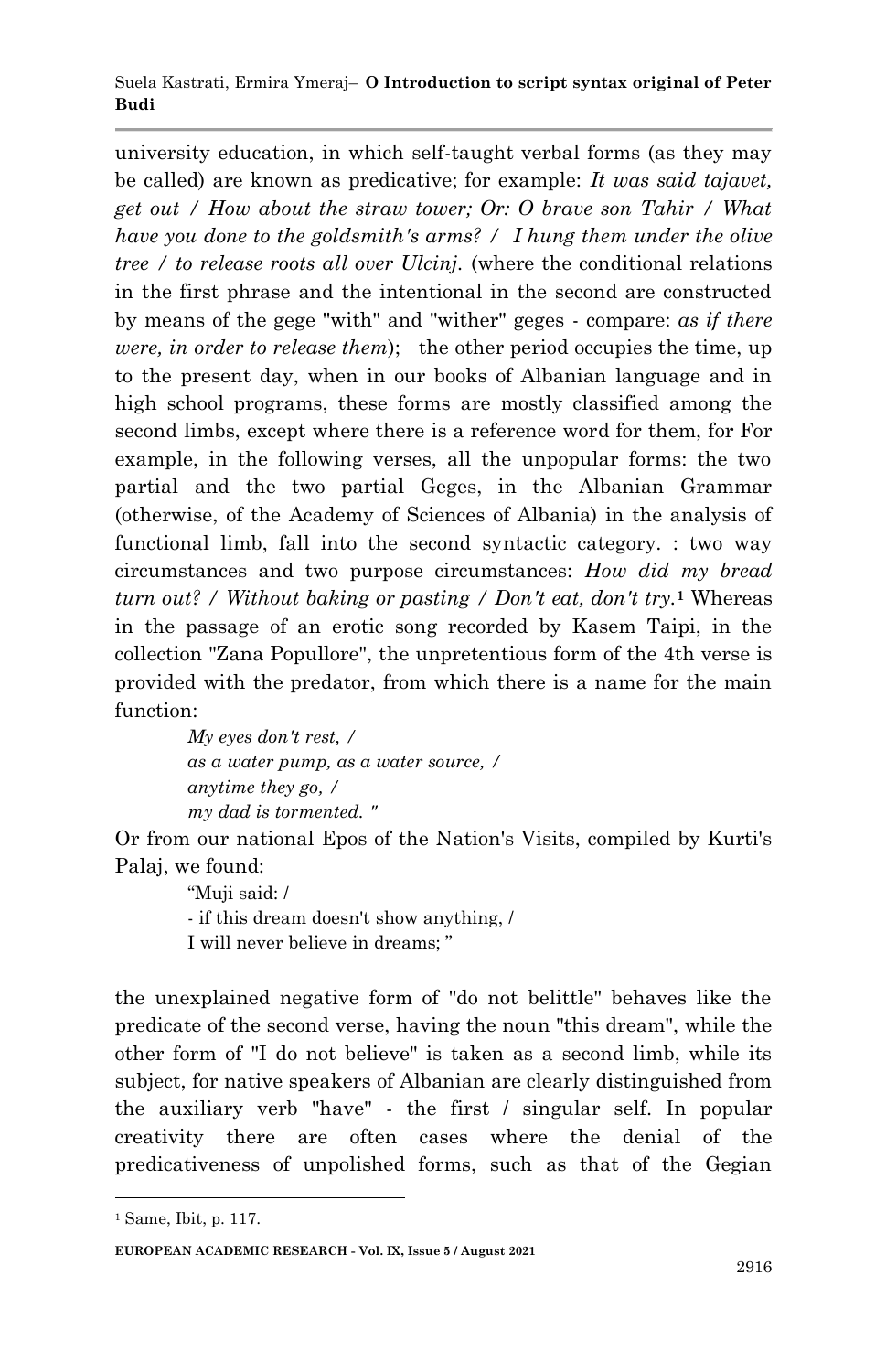#### Suela Kastrati, Ermira Ymeraj– **O Introduction to script syntax original of Peter Budi**

university education, in which self-taught verbal forms (as they may be called) are known as predicative; for example: *It was said tajavet, get out / How about the straw tower; Or: O brave son Tahir / What have you done to the goldsmith's arms? / I hung them under the olive tree / to release roots all over Ulcinj.* (where the conditional relations in the first phrase and the intentional in the second are constructed by means of the gege "with" and "wither" geges - compare: *as if there were, in order to release them*); the other period occupies the time, up to the present day, when in our books of Albanian language and in high school programs, these forms are mostly classified among the second limbs, except where there is a reference word for them, for For example, in the following verses, all the unpopular forms: the two partial and the two partial Geges, in the Albanian Grammar (otherwise, of the Academy of Sciences of Albania) in the analysis of functional limb, fall into the second syntactic category. : two way circumstances and two purpose circumstances: *How did my bread turn out? / Without baking or pasting / Don't eat, don't try.***<sup>1</sup>** Whereas in the passage of an erotic song recorded by Kasem Taipi, in the collection "Zana Popullore", the unpretentious form of the 4th verse is provided with the predator, from which there is a name for the main function:

> *My eyes don't rest, / as a water pump, as a water source, / anytime they go, / my dad is tormented. "*

Or from our national Epos of the Nation's Visits, compiled by Kurti's Palaj, we found:

> "Muji said: / - if this dream doesn't show anything, / I will never believe in dreams; "

the unexplained negative form of "do not belittle" behaves like the predicate of the second verse, having the noun "this dream", while the other form of "I do not believe" is taken as a second limb, while its subject, for native speakers of Albanian are clearly distinguished from the auxiliary verb "have" - the first / singular self. In popular creativity there are often cases where the denial of the predicativeness of unpolished forms, such as that of the Gegian

1

<sup>1</sup> Same, Ibit, p. 117.

**EUROPEAN ACADEMIC RESEARCH - Vol. IX, Issue 5 / August 2021**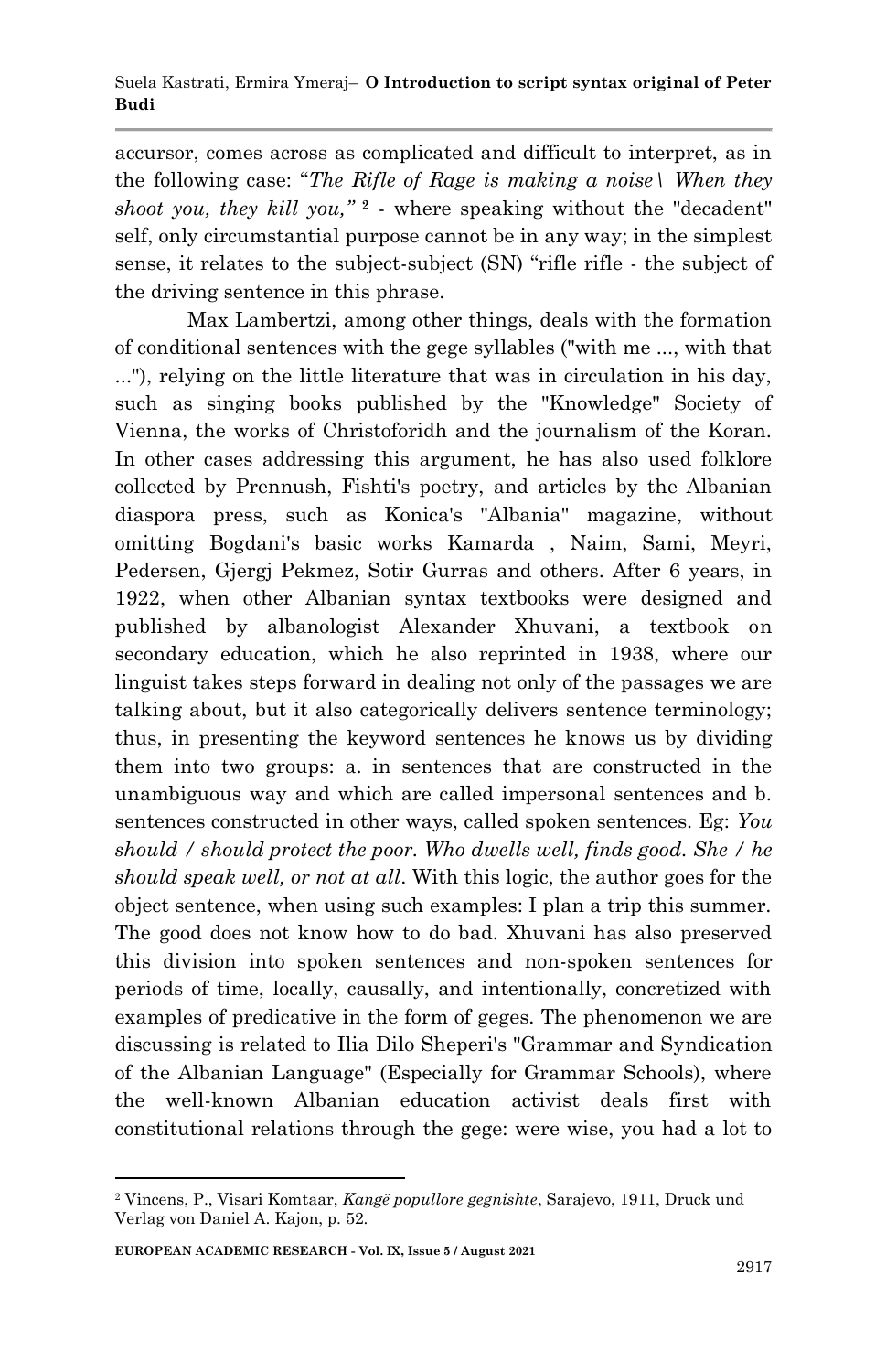accursor, comes across as complicated and difficult to interpret, as in the following case: "*The Rifle of Rage is making a noise\ When they shoot you, they kill you,"* **<sup>2</sup>** - where speaking without the "decadent" self, only circumstantial purpose cannot be in any way; in the simplest sense, it relates to the subject-subject (SN) "rifle rifle - the subject of the driving sentence in this phrase.

Max Lambertzi, among other things, deals with the formation of conditional sentences with the gege syllables ("with me ..., with that ..."), relying on the little literature that was in circulation in his day, such as singing books published by the "Knowledge" Society of Vienna, the works of Christoforidh and the journalism of the Koran. In other cases addressing this argument, he has also used folklore collected by Prennush, Fishti's poetry, and articles by the Albanian diaspora press, such as Konica's "Albania" magazine, without omitting Bogdani's basic works Kamarda , Naim, Sami, Meyri, Pedersen, Gjergj Pekmez, Sotir Gurras and others. After 6 years, in 1922, when other Albanian syntax textbooks were designed and published by albanologist Alexander Xhuvani, a textbook on secondary education, which he also reprinted in 1938, where our linguist takes steps forward in dealing not only of the passages we are talking about, but it also categorically delivers sentence terminology; thus, in presenting the keyword sentences he knows us by dividing them into two groups: a. in sentences that are constructed in the unambiguous way and which are called impersonal sentences and b. sentences constructed in other ways, called spoken sentences. Eg: *You should / should protect the poor. Who dwells well, finds good. She / he should speak well, or not at all*. With this logic, the author goes for the object sentence, when using such examples: I plan a trip this summer. The good does not know how to do bad. Xhuvani has also preserved this division into spoken sentences and non-spoken sentences for periods of time, locally, causally, and intentionally, concretized with examples of predicative in the form of geges. The phenomenon we are discussing is related to Ilia Dilo Sheperi's "Grammar and Syndication of the Albanian Language" (Especially for Grammar Schools), where the well-known Albanian education activist deals first with constitutional relations through the gege: were wise, you had a lot to

1

<sup>2</sup> Vincens, P., Visari Komtaar, *Kangë popullore gegnishte*, Sarajevo, 1911, Druck und Verlag von Daniel A. Kajon, p. 52.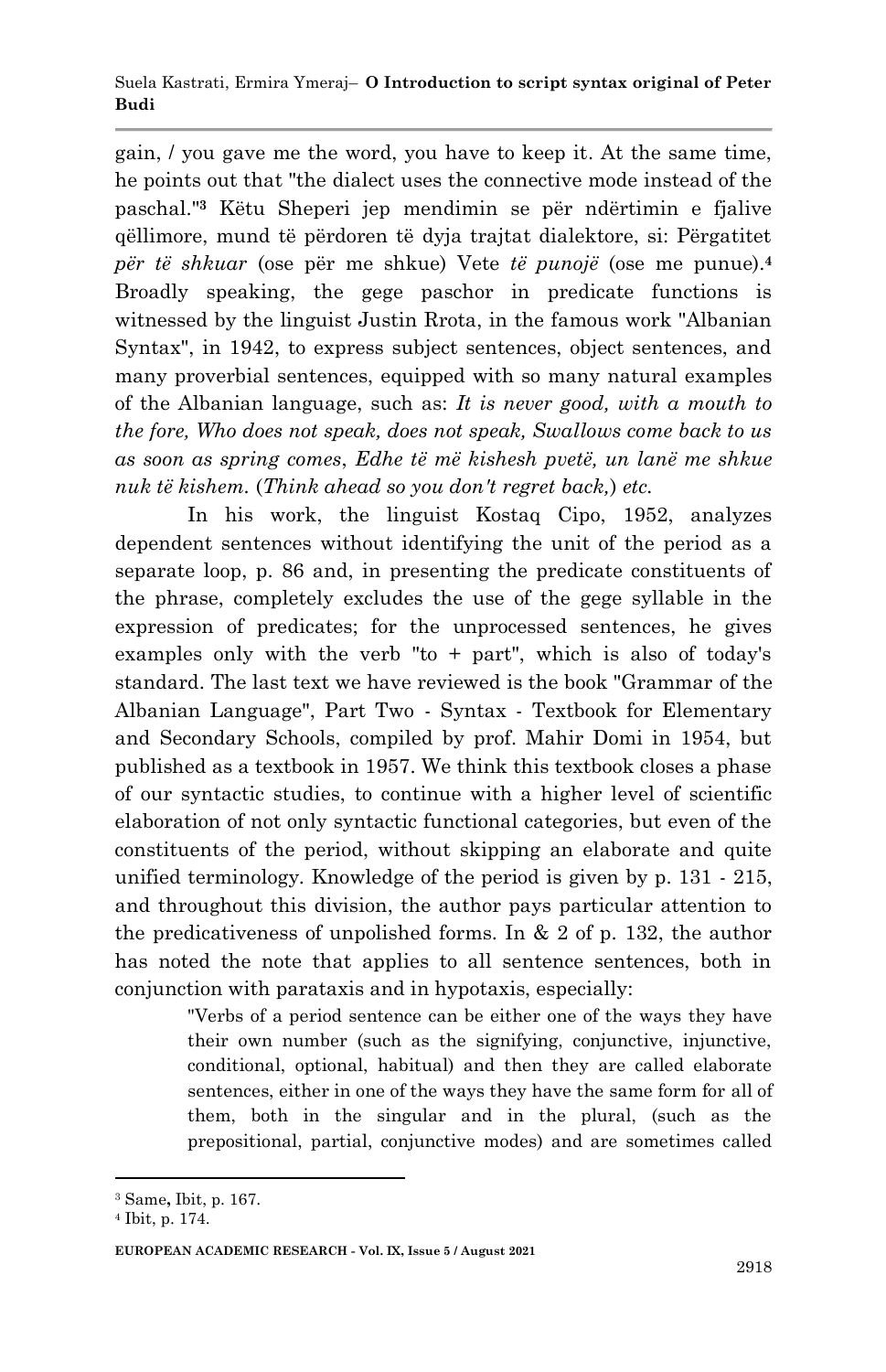gain, / you gave me the word, you have to keep it. At the same time, he points out that "the dialect uses the connective mode instead of the paschal."**<sup>3</sup>** Këtu Sheperi jep mendimin se për ndërtimin e fjalive qëllimore, mund të përdoren të dyja trajtat dialektore, si: Përgatitet *për të shkuar* (ose për me shkue) Vete *të punojë* (ose me punue).**<sup>4</sup>** Broadly speaking, the gege paschor in predicate functions is witnessed by the linguist Justin Rrota, in the famous work "Albanian Syntax", in 1942, to express subject sentences, object sentences, and many proverbial sentences, equipped with so many natural examples of the Albanian language, such as: *It is never good, with a mouth to the fore, Who does not speak, does not speak, Swallows come back to us as soon as spring comes*, *Edhe të më kishesh pvetë, un lanë me shkue nuk të kishem.* (*Think ahead so you don't regret back,*) *etc.* 

In his work, the linguist Kostaq Cipo, 1952, analyzes dependent sentences without identifying the unit of the period as a separate loop, p. 86 and, in presenting the predicate constituents of the phrase, completely excludes the use of the gege syllable in the expression of predicates; for the unprocessed sentences, he gives examples only with the verb "to + part", which is also of today's standard. The last text we have reviewed is the book "Grammar of the Albanian Language", Part Two - Syntax - Textbook for Elementary and Secondary Schools, compiled by prof. Mahir Domi in 1954, but published as a textbook in 1957. We think this textbook closes a phase of our syntactic studies, to continue with a higher level of scientific elaboration of not only syntactic functional categories, but even of the constituents of the period, without skipping an elaborate and quite unified terminology. Knowledge of the period is given by p. 131 - 215, and throughout this division, the author pays particular attention to the predicativeness of unpolished forms. In  $& 2$  of p. 132, the author has noted the note that applies to all sentence sentences, both in conjunction with parataxis and in hypotaxis, especially:

> "Verbs of a period sentence can be either one of the ways they have their own number (such as the signifying, conjunctive, injunctive, conditional, optional, habitual) and then they are called elaborate sentences, either in one of the ways they have the same form for all of them, both in the singular and in the plural, (such as the prepositional, partial, conjunctive modes) and are sometimes called

<sup>1</sup> <sup>3</sup> Same**,** Ibit, p. 167.

<sup>4</sup> Ibit, p. 174.

**EUROPEAN ACADEMIC RESEARCH - Vol. IX, Issue 5 / August 2021**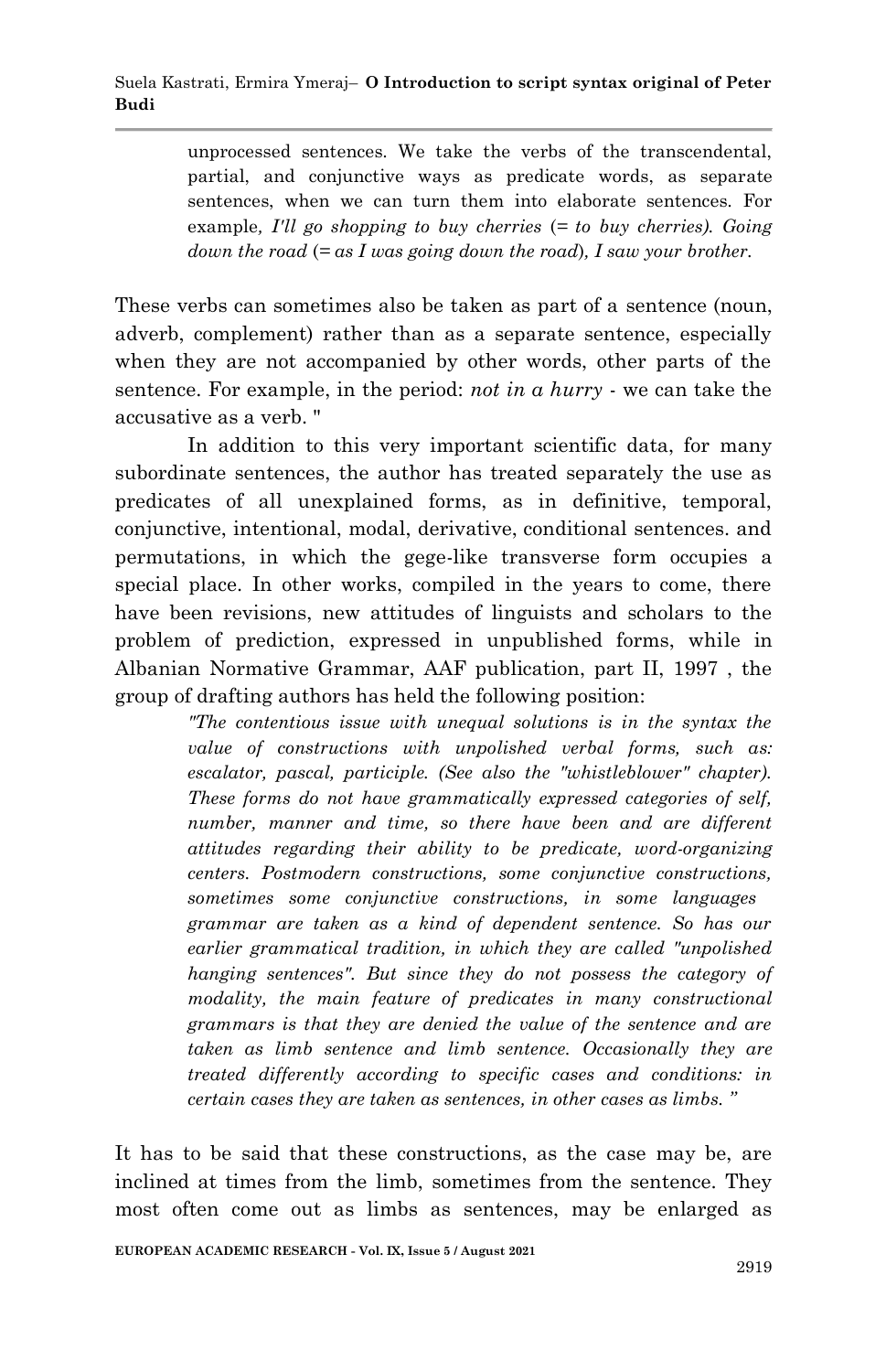unprocessed sentences. We take the verbs of the transcendental, partial, and conjunctive ways as predicate words, as separate sentences, when we can turn them into elaborate sentences. For example*, I'll go shopping to buy cherries* (*= to buy cherries). Going down the road* (*= as I was going down the road*)*, I saw your brother.*

These verbs can sometimes also be taken as part of a sentence (noun, adverb, complement) rather than as a separate sentence, especially when they are not accompanied by other words, other parts of the sentence. For example, in the period: *not in a hurry* - we can take the accusative as a verb. "

In addition to this very important scientific data, for many subordinate sentences, the author has treated separately the use as predicates of all unexplained forms, as in definitive, temporal, conjunctive, intentional, modal, derivative, conditional sentences. and permutations, in which the gege-like transverse form occupies a special place. In other works, compiled in the years to come, there have been revisions, new attitudes of linguists and scholars to the problem of prediction, expressed in unpublished forms, while in Albanian Normative Grammar, AAF publication, part II, 1997 , the group of drafting authors has held the following position:

> *"The contentious issue with unequal solutions is in the syntax the value of constructions with unpolished verbal forms, such as: escalator, pascal, participle. (See also the "whistleblower" chapter). These forms do not have grammatically expressed categories of self, number, manner and time, so there have been and are different attitudes regarding their ability to be predicate, word-organizing centers. Postmodern constructions, some conjunctive constructions, sometimes some conjunctive constructions, in some languages grammar are taken as a kind of dependent sentence. So has our earlier grammatical tradition, in which they are called "unpolished hanging sentences". But since they do not possess the category of modality, the main feature of predicates in many constructional grammars is that they are denied the value of the sentence and are taken as limb sentence and limb sentence. Occasionally they are treated differently according to specific cases and conditions: in certain cases they are taken as sentences, in other cases as limbs. "*

It has to be said that these constructions, as the case may be, are inclined at times from the limb, sometimes from the sentence. They most often come out as limbs as sentences, may be enlarged as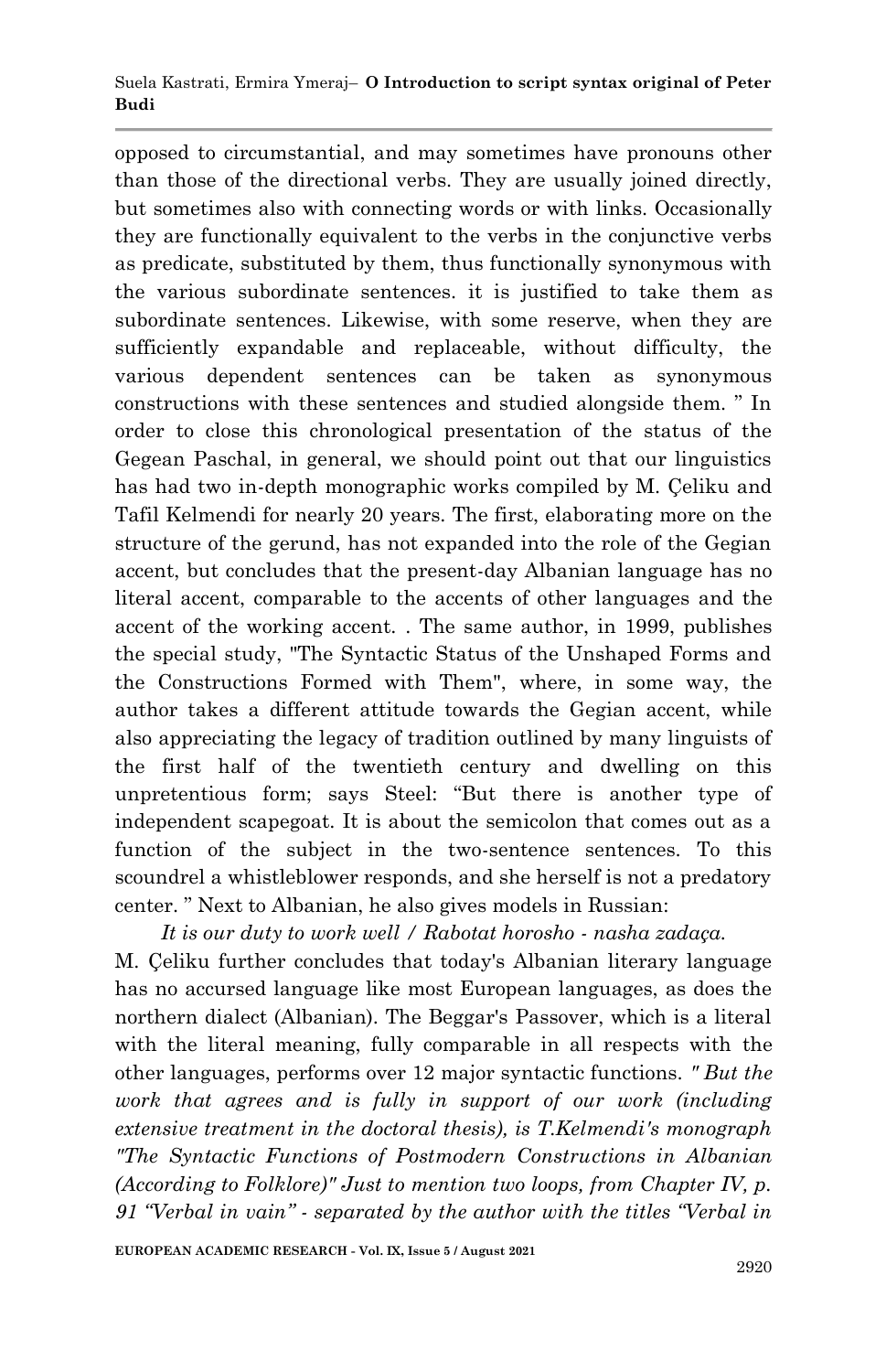opposed to circumstantial, and may sometimes have pronouns other than those of the directional verbs. They are usually joined directly, but sometimes also with connecting words or with links. Occasionally they are functionally equivalent to the verbs in the conjunctive verbs as predicate, substituted by them, thus functionally synonymous with the various subordinate sentences. it is justified to take them as subordinate sentences. Likewise, with some reserve, when they are sufficiently expandable and replaceable, without difficulty, the various dependent sentences can be taken as synonymous constructions with these sentences and studied alongside them. " In order to close this chronological presentation of the status of the Gegean Paschal, in general, we should point out that our linguistics has had two in-depth monographic works compiled by M. Çeliku and Tafil Kelmendi for nearly 20 years. The first, elaborating more on the structure of the gerund, has not expanded into the role of the Gegian accent, but concludes that the present-day Albanian language has no literal accent, comparable to the accents of other languages and the accent of the working accent. . The same author, in 1999, publishes the special study, "The Syntactic Status of the Unshaped Forms and the Constructions Formed with Them", where, in some way, the author takes a different attitude towards the Gegian accent, while also appreciating the legacy of tradition outlined by many linguists of the first half of the twentieth century and dwelling on this unpretentious form; says Steel: "But there is another type of independent scapegoat. It is about the semicolon that comes out as a function of the subject in the two-sentence sentences. To this scoundrel a whistleblower responds, and she herself is not a predatory center. " Next to Albanian, he also gives models in Russian:

*It is our duty to work well / Rabotat horosho - nasha zadaça.*

M. Çeliku further concludes that today's Albanian literary language has no accursed language like most European languages, as does the northern dialect (Albanian). The Beggar's Passover, which is a literal with the literal meaning, fully comparable in all respects with the other languages, performs over 12 major syntactic functions. *" But the work that agrees and is fully in support of our work (including extensive treatment in the doctoral thesis), is T.Kelmendi's monograph "The Syntactic Functions of Postmodern Constructions in Albanian (According to Folklore)" Just to mention two loops, from Chapter IV, p. 91 "Verbal in vain" - separated by the author with the titles "Verbal in*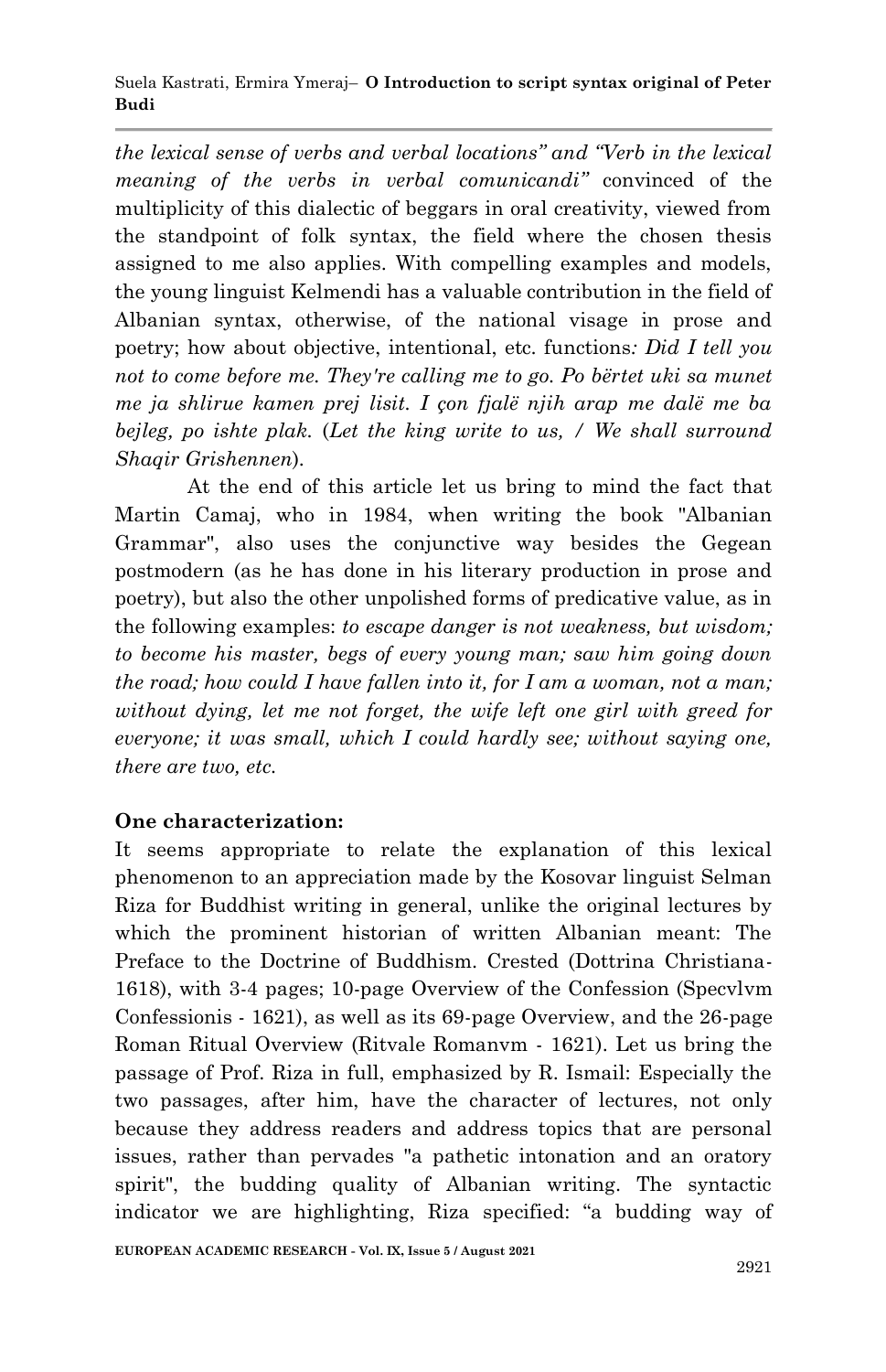*the lexical sense of verbs and verbal locations" and "Verb in the lexical meaning of the verbs in verbal comunicandi"* convinced of the multiplicity of this dialectic of beggars in oral creativity, viewed from the standpoint of folk syntax, the field where the chosen thesis assigned to me also applies. With compelling examples and models, the young linguist Kelmendi has a valuable contribution in the field of Albanian syntax, otherwise, of the national visage in prose and poetry; how about objective, intentional, etc. functions*: Did I tell you not to come before me. They're calling me to go. Po bërtet uki sa munet me ja shlirue kamen prej lisit. I çon fjalë njih arap me dalë me ba bejleg, po ishte plak.* (*Let the king write to us, / We shall surround Shaqir Grishennen*)*.*

At the end of this article let us bring to mind the fact that Martin Camaj, who in 1984, when writing the book "Albanian Grammar", also uses the conjunctive way besides the Gegean postmodern (as he has done in his literary production in prose and poetry), but also the other unpolished forms of predicative value, as in the following examples: *to escape danger is not weakness, but wisdom; to become his master, begs of every young man; saw him going down the road; how could I have fallen into it, for I am a woman, not a man; without dying, let me not forget, the wife left one girl with greed for everyone; it was small, which I could hardly see; without saying one, there are two, etc.*

# **One characterization:**

It seems appropriate to relate the explanation of this lexical phenomenon to an appreciation made by the Kosovar linguist Selman Riza for Buddhist writing in general, unlike the original lectures by which the prominent historian of written Albanian meant: The Preface to the Doctrine of Buddhism. Crested (Dottrina Christiana-1618), with 3-4 pages; 10-page Overview of the Confession (Specvlvm Confessionis - 1621), as well as its 69-page Overview, and the 26-page Roman Ritual Overview (Ritvale Romanvm - 1621). Let us bring the passage of Prof. Riza in full, emphasized by R. Ismail: Especially the two passages, after him, have the character of lectures, not only because they address readers and address topics that are personal issues, rather than pervades "a pathetic intonation and an oratory spirit", the budding quality of Albanian writing. The syntactic indicator we are highlighting, Riza specified: "a budding way of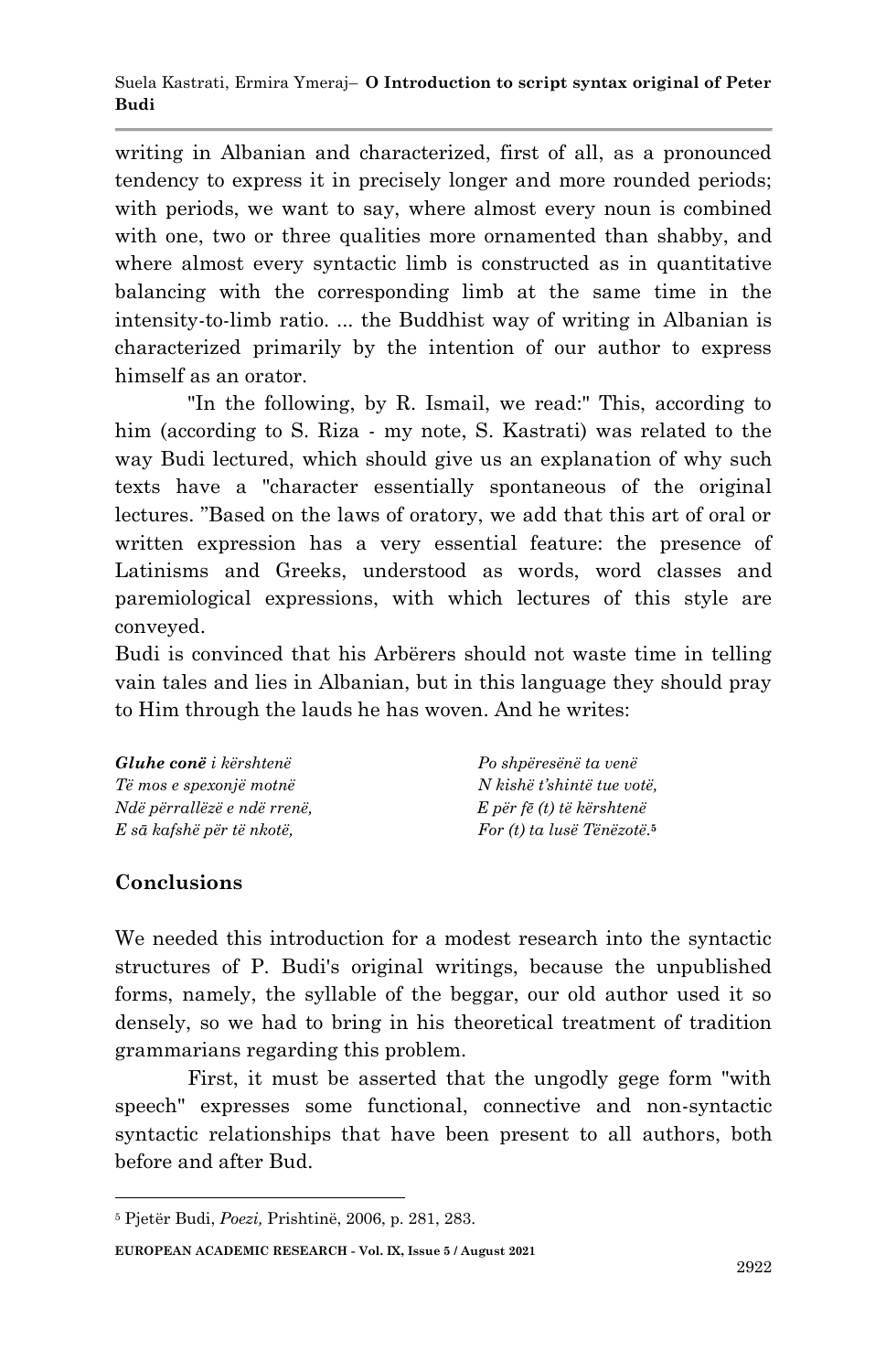writing in Albanian and characterized, first of all, as a pronounced tendency to express it in precisely longer and more rounded periods; with periods, we want to say, where almost every noun is combined with one, two or three qualities more ornamented than shabby, and where almost every syntactic limb is constructed as in quantitative balancing with the corresponding limb at the same time in the intensity-to-limb ratio. ... the Buddhist way of writing in Albanian is characterized primarily by the intention of our author to express himself as an orator.

"In the following, by R. Ismail, we read:" This, according to him (according to S. Riza - my note, S. Kastrati) was related to the way Budi lectured, which should give us an explanation of why such texts have a "character essentially spontaneous of the original lectures. "Based on the laws of oratory, we add that this art of oral or written expression has a very essential feature: the presence of Latinisms and Greeks, understood as words, word classes and paremiological expressions, with which lectures of this style are conveyed.

Budi is convinced that his Arbërers should not waste time in telling vain tales and lies in Albanian, but in this language they should pray to Him through the lauds he has woven. And he writes:

| <b>Gluhe conë</b> i kërshtenë | Po shpëresënë ta venë                  |
|-------------------------------|----------------------------------------|
| Të mos e spexonjë motnë       | N kishë t'shintë tue votë.             |
| Ndë përrallëzë e ndë rrenë,   | E për fë (t) të kërshtenë              |
| E sā kafshë për të nkotë,     | For (t) ta lusë Tënëzotë. <sup>5</sup> |

# **Conclusions**

We needed this introduction for a modest research into the syntactic structures of P. Budi's original writings, because the unpublished forms, namely, the syllable of the beggar, our old author used it so densely, so we had to bring in his theoretical treatment of tradition grammarians regarding this problem.

First, it must be asserted that the ungodly gege form "with speech" expresses some functional, connective and non-syntactic syntactic relationships that have been present to all authors, both before and after Bud.

**EUROPEAN ACADEMIC RESEARCH - Vol. IX, Issue 5 / August 2021**

<sup>1</sup> <sup>5</sup> Pjetër Budi, *Poezi,* Prishtinë, 2006, p. 281, 283.